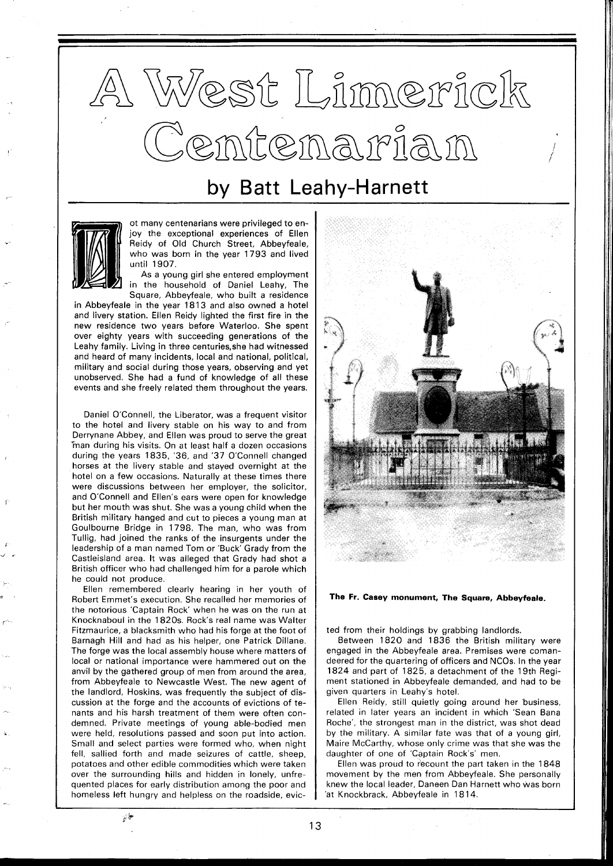## West Limerick<br>Centenarian

## by Batt Leahy-Harnett



ot many centenarians were privileged to enjoy the exceptional experiences of Ellen Reidy of Old Church Street, Abbeyfeale, who was born in the year 1793 and lived until 1907.

As a young girl she entered employment in the household of Daniel Leahy, The Square, Abbeyfeale, who built a residence

in Abbeyfeale in the year 1813 and also owned a hotel and livery station. Ellen Reidy lighted the first fire in the new residence two years before Waterloo. She spent over eighty years with succeeding generations of the Leahy family. Living in three centuries, she had witnessed and heard of many incidents, local and national, political, military and social during those years, observing and yet unobserved. She had a fund of knowledge of all these events and she freely related them throughout the years.

Daniel O'Connell, the Liberator, was a frequent visitor to the hotel and livery stable on his way to and from Derrynane Abbey, and Ellen was proud to serve the great "man during his visits. On at least half a dozen occasions during the years 1835, '36, and '37 O'Connell changed horses at the livery stable and stayed overnight at the hotel on a few occasions. Naturally at these times there were discussions between her employer, the solicitor, and O'Connell and Ellen's ears were open for knowledge but her mouth was shut. She was a young child when the British military hanged and cut to pieces a young man at Goulbourne Bridge in 1798. The man, who was from Tullig, had joined the ranks of the insurgents under the leadership of a man named Tom or 'Buck' Grady from the Castleisland area. It was alleged that Grady had shot a British officer who had challenged him for a parole which he could not produce.

Ellen remembered clearly hearing in her youth of Robert Emmet's execution. She recalled her memories of the notorious 'Captain Rock' when he was on the run at Knocknaboul in the 1820s. Rock's real name was Walter Fitzmaurice, a blacksmith who had his forge at the foot of Barnagh Hill and had as his helper, one Patrick Dillane. The forge was the local assembly house where matters of local or national importance were hammered out on the anvil by the gathered group of men from around the area, from Abbeyfeale to Newcastle West. The new agent of the landlord, Hoskins, was frequently the subject of discussion at the forge and the accounts of evictions of tenants and his harsh treatment of them were often condemned. Private meetings of young able-bodied men were held, resolutions passed and soon put into action. Small and select parties were formed who, when night fell, sallied forth and made seizures of cattle, sheep, potatoes and other edible commodities which were taken over the surrounding hills and hidden in lonely, unfrequented places for early distribution among the poor and homeless left hungry and helpless on the roadside, evic-



**The Fr. Casey monument, The Square, Abbeyfeale.** 

ted from their holdings by grabbing landlords.

Between 1820 and 1836 the British military were engaged in the Abbeyfeale area. Premises were comandeered for the quartering of officers and NCOs. In the year 1824 and part of 1825, a detachment of the 19th Regiment stationed in Abbeyfeale demanded, and had to be given quarters in Leahy's hotel.

Ellen Reidy, still quietly going around her business, related in later years an incident in which 'Sean Bana Roche', the strongest man in the district, was shot dead by the military. A similar fate was that of a young girl, Maire McCarthy, whose only crime was that she was the daughter of one of 'Captain Rock's' men.

Ellen was proud to recount the part taken in the 1848 movement by the men from Abbeyfeale. She personally knew the local leader, Daneen Dan Harnett who was born 'at Knockbrack, Abbeyfeale in 18 14.

 $x^2$